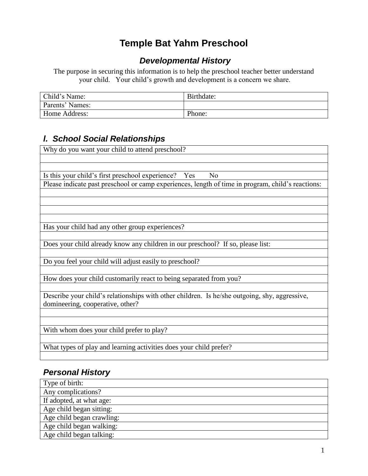## **Temple Bat Yahm Preschool**

### *Developmental History*

The purpose in securing this information is to help the preschool teacher better understand your child. Your child's growth and development is a concern we share.

| Child's Name:   | Birthdate: |
|-----------------|------------|
| Parents' Names: |            |
| Home Address:   | Phone:     |

### *l. School Social Relationships*

| Why do you want your child to attend preschool?                                                   |  |  |  |  |  |
|---------------------------------------------------------------------------------------------------|--|--|--|--|--|
|                                                                                                   |  |  |  |  |  |
|                                                                                                   |  |  |  |  |  |
| Is this your child's first preschool experience? Yes<br>No                                        |  |  |  |  |  |
| Please indicate past preschool or camp experiences, length of time in program, child's reactions: |  |  |  |  |  |
|                                                                                                   |  |  |  |  |  |
|                                                                                                   |  |  |  |  |  |
|                                                                                                   |  |  |  |  |  |
|                                                                                                   |  |  |  |  |  |
| Has your child had any other group experiences?                                                   |  |  |  |  |  |
|                                                                                                   |  |  |  |  |  |
| Does your child already know any children in our preschool? If so, please list:                   |  |  |  |  |  |
|                                                                                                   |  |  |  |  |  |
| Do you feel your child will adjust easily to preschool?                                           |  |  |  |  |  |
|                                                                                                   |  |  |  |  |  |
| How does your child customarily react to being separated from you?                                |  |  |  |  |  |
|                                                                                                   |  |  |  |  |  |
| Describe your child's relationships with other children. Is he/she outgoing, shy, aggressive,     |  |  |  |  |  |
| domineering, cooperative, other?                                                                  |  |  |  |  |  |
|                                                                                                   |  |  |  |  |  |
|                                                                                                   |  |  |  |  |  |
| With whom does your child prefer to play?                                                         |  |  |  |  |  |
|                                                                                                   |  |  |  |  |  |
| What types of play and learning activities does your child prefer?                                |  |  |  |  |  |

### *Personal History*

| Type of birth:            |
|---------------------------|
| Any complications?        |
| If adopted, at what age:  |
| Age child began sitting:  |
| Age child began crawling: |
| Age child began walking:  |
| Age child began talking:  |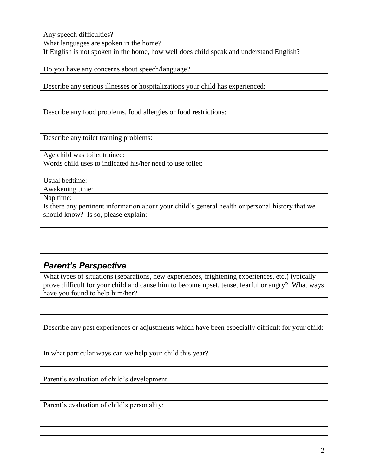Any speech difficulties?

What languages are spoken in the home?

If English is not spoken in the home, how well does child speak and understand English?

Do you have any concerns about speech/language?

Describe any serious illnesses or hospitalizations your child has experienced:

Describe any food problems, food allergies or food restrictions:

Describe any toilet training problems:

Age child was toilet trained:

Words child uses to indicated his/her need to use toilet:

Usual bedtime:

Awakening time:

Nap time:

Is there any pertinent information about your child's general health or personal history that we should know? Is so, please explain:

### *Parent's Perspective*

What types of situations (separations, new experiences, frightening experiences, etc.) typically prove difficult for your child and cause him to become upset, tense, fearful or angry? What ways have you found to help him/her?

Describe any past experiences or adjustments which have been especially difficult for your child:

In what particular ways can we help your child this year?

Parent's evaluation of child's development:

Parent's evaluation of child's personality: